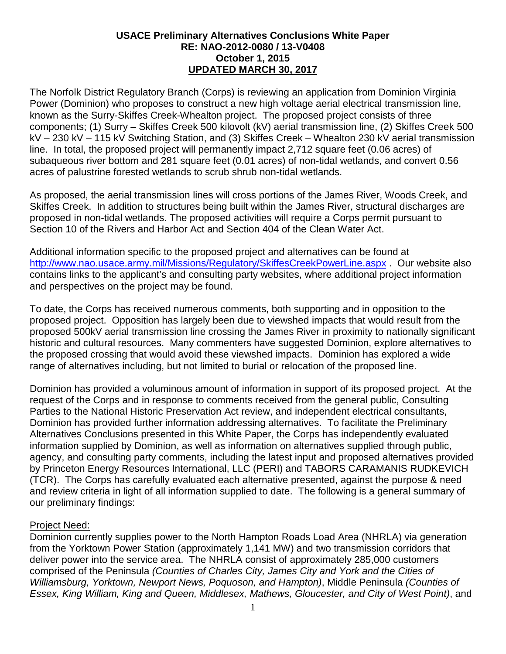## **USACE Preliminary Alternatives Conclusions White Paper RE: NAO-2012-0080 / 13-V0408 October 1, 2015 UPDATED MARCH 30, 2017**

The Norfolk District Regulatory Branch (Corps) is reviewing an application from Dominion Virginia Power (Dominion) who proposes to construct a new high voltage aerial electrical transmission line, known as the Surry-Skiffes Creek-Whealton project. The proposed project consists of three components; (1) Surry – Skiffes Creek 500 kilovolt (kV) aerial transmission line, (2) Skiffes Creek 500 kV – 230 kV – 115 kV Switching Station, and (3) Skiffes Creek – Whealton 230 kV aerial transmission line. In total, the proposed project will permanently impact 2,712 square feet (0.06 acres) of subaqueous river bottom and 281 square feet (0.01 acres) of non-tidal wetlands, and convert 0.56 acres of palustrine forested wetlands to scrub shrub non-tidal wetlands.

As proposed, the aerial transmission lines will cross portions of the James River, Woods Creek, and Skiffes Creek. In addition to structures being built within the James River, structural discharges are proposed in non-tidal wetlands. The proposed activities will require a Corps permit pursuant to Section 10 of the Rivers and Harbor Act and Section 404 of the Clean Water Act.

Additional information specific to the proposed project and alternatives can be found at <http://www.nao.usace.army.mil/Missions/Regulatory/SkiffesCreekPowerLine.aspx> . Our website also contains links to the applicant's and consulting party websites, where additional project information and perspectives on the project may be found.

To date, the Corps has received numerous comments, both supporting and in opposition to the proposed project. Opposition has largely been due to viewshed impacts that would result from the proposed 500kV aerial transmission line crossing the James River in proximity to nationally significant historic and cultural resources. Many commenters have suggested Dominion, explore alternatives to the proposed crossing that would avoid these viewshed impacts. Dominion has explored a wide range of alternatives including, but not limited to burial or relocation of the proposed line.

Dominion has provided a voluminous amount of information in support of its proposed project. At the request of the Corps and in response to comments received from the general public, Consulting Parties to the National Historic Preservation Act review, and independent electrical consultants, Dominion has provided further information addressing alternatives. To facilitate the Preliminary Alternatives Conclusions presented in this White Paper, the Corps has independently evaluated information supplied by Dominion, as well as information on alternatives supplied through public, agency, and consulting party comments, including the latest input and proposed alternatives provided by Princeton Energy Resources International, LLC (PERI) and TABORS CARAMANIS RUDKEVICH (TCR). The Corps has carefully evaluated each alternative presented, against the purpose & need and review criteria in light of all information supplied to date. The following is a general summary of our preliminary findings:

### Project Need:

Dominion currently supplies power to the North Hampton Roads Load Area (NHRLA) via generation from the Yorktown Power Station (approximately 1,141 MW) and two transmission corridors that deliver power into the service area. The NHRLA consist of approximately 285,000 customers comprised of the Peninsula *(Counties of Charles City, James City and York and the Cities of Williamsburg, Yorktown, Newport News, Poquoson, and Hampton)*, Middle Peninsula *(Counties of Essex, King William, King and Queen, Middlesex, Mathews, Gloucester, and City of West Point)*, and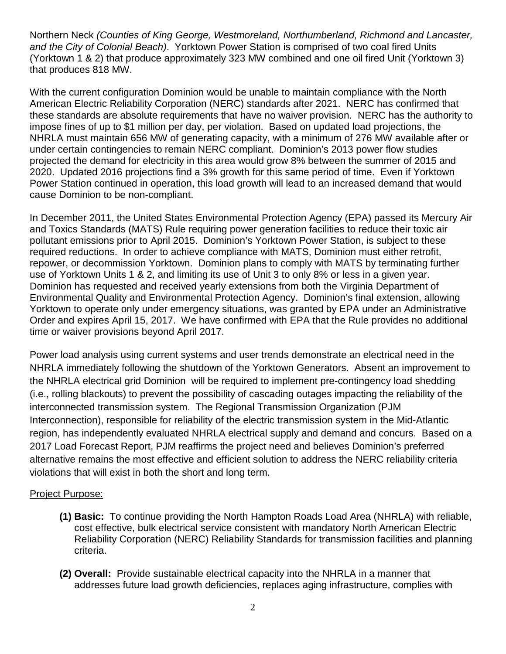Northern Neck *(Counties of King George, Westmoreland, Northumberland, Richmond and Lancaster, and the City of Colonial Beach)*. Yorktown Power Station is comprised of two coal fired Units (Yorktown 1 & 2) that produce approximately 323 MW combined and one oil fired Unit (Yorktown 3) that produces 818 MW.

With the current configuration Dominion would be unable to maintain compliance with the North American Electric Reliability Corporation (NERC) standards after 2021. NERC has confirmed that these standards are absolute requirements that have no waiver provision. NERC has the authority to impose fines of up to \$1 million per day, per violation. Based on updated load projections, the NHRLA must maintain 656 MW of generating capacity, with a minimum of 276 MW available after or under certain contingencies to remain NERC compliant. Dominion's 2013 power flow studies projected the demand for electricity in this area would grow 8% between the summer of 2015 and 2020. Updated 2016 projections find a 3% growth for this same period of time. Even if Yorktown Power Station continued in operation, this load growth will lead to an increased demand that would cause Dominion to be non-compliant.

In December 2011, the United States Environmental Protection Agency (EPA) passed its Mercury Air and Toxics Standards (MATS) Rule requiring power generation facilities to reduce their toxic air pollutant emissions prior to April 2015. Dominion's Yorktown Power Station, is subject to these required reductions. In order to achieve compliance with MATS, Dominion must either retrofit, repower, or decommission Yorktown. Dominion plans to comply with MATS by terminating further use of Yorktown Units 1 & 2, and limiting its use of Unit 3 to only 8% or less in a given year. Dominion has requested and received yearly extensions from both the Virginia Department of Environmental Quality and Environmental Protection Agency. Dominion's final extension, allowing Yorktown to operate only under emergency situations, was granted by EPA under an Administrative Order and expires April 15, 2017. We have confirmed with EPA that the Rule provides no additional time or waiver provisions beyond April 2017.

Power load analysis using current systems and user trends demonstrate an electrical need in the NHRLA immediately following the shutdown of the Yorktown Generators. Absent an improvement to the NHRLA electrical grid Dominion will be required to implement pre-contingency load shedding (i.e., rolling blackouts) to prevent the possibility of cascading outages impacting the reliability of the interconnected transmission system. The Regional Transmission Organization (PJM Interconnection), responsible for reliability of the electric transmission system in the Mid-Atlantic region, has independently evaluated NHRLA electrical supply and demand and concurs. Based on a 2017 Load Forecast Report, PJM reaffirms the project need and believes Dominion's preferred alternative remains the most effective and efficient solution to address the NERC reliability criteria violations that will exist in both the short and long term.

### Project Purpose:

- **(1) Basic:** To continue providing the North Hampton Roads Load Area (NHRLA) with reliable, cost effective, bulk electrical service consistent with mandatory North American Electric Reliability Corporation (NERC) Reliability Standards for transmission facilities and planning criteria.
- **(2) Overall:** Provide sustainable electrical capacity into the NHRLA in a manner that addresses future load growth deficiencies, replaces aging infrastructure, complies with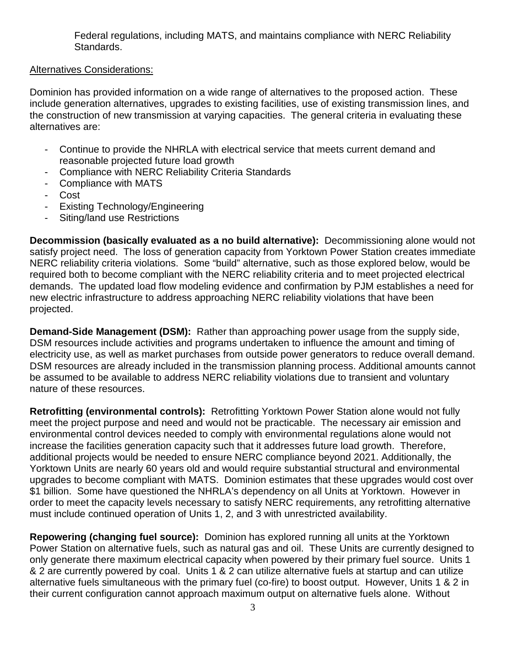Federal regulations, including MATS, and maintains compliance with NERC Reliability Standards.

# Alternatives Considerations:

Dominion has provided information on a wide range of alternatives to the proposed action. These include generation alternatives, upgrades to existing facilities, use of existing transmission lines, and the construction of new transmission at varying capacities. The general criteria in evaluating these alternatives are:

- Continue to provide the NHRLA with electrical service that meets current demand and reasonable projected future load growth
- Compliance with NERC Reliability Criteria Standards
- Compliance with MATS
- Cost
- Existing Technology/Engineering
- Siting/land use Restrictions

**Decommission (basically evaluated as a no build alternative):** Decommissioning alone would not satisfy project need. The loss of generation capacity from Yorktown Power Station creates immediate NERC reliability criteria violations. Some "build" alternative, such as those explored below, would be required both to become compliant with the NERC reliability criteria and to meet projected electrical demands. The updated load flow modeling evidence and confirmation by PJM establishes a need for new electric infrastructure to address approaching NERC reliability violations that have been projected.

**Demand-Side Management (DSM):** Rather than approaching power usage from the supply side, DSM resources include activities and programs undertaken to influence the amount and timing of electricity use, as well as market purchases from outside power generators to reduce overall demand. DSM resources are already included in the transmission planning process. Additional amounts cannot be assumed to be available to address NERC reliability violations due to transient and voluntary nature of these resources.

**Retrofitting (environmental controls):** Retrofitting Yorktown Power Station alone would not fully meet the project purpose and need and would not be practicable. The necessary air emission and environmental control devices needed to comply with environmental regulations alone would not increase the facilities generation capacity such that it addresses future load growth. Therefore, additional projects would be needed to ensure NERC compliance beyond 2021. Additionally, the Yorktown Units are nearly 60 years old and would require substantial structural and environmental upgrades to become compliant with MATS. Dominion estimates that these upgrades would cost over \$1 billion. Some have questioned the NHRLA's dependency on all Units at Yorktown. However in order to meet the capacity levels necessary to satisfy NERC requirements, any retrofitting alternative must include continued operation of Units 1, 2, and 3 with unrestricted availability.

**Repowering (changing fuel source):** Dominion has explored running all units at the Yorktown Power Station on alternative fuels, such as natural gas and oil. These Units are currently designed to only generate there maximum electrical capacity when powered by their primary fuel source. Units 1 & 2 are currently powered by coal. Units 1 & 2 can utilize alternative fuels at startup and can utilize alternative fuels simultaneous with the primary fuel (co-fire) to boost output. However, Units 1 & 2 in their current configuration cannot approach maximum output on alternative fuels alone. Without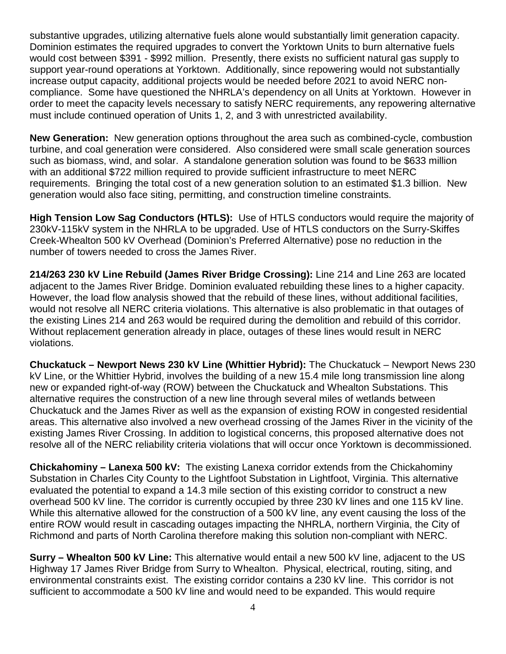substantive upgrades, utilizing alternative fuels alone would substantially limit generation capacity. Dominion estimates the required upgrades to convert the Yorktown Units to burn alternative fuels would cost between \$391 - \$992 million. Presently, there exists no sufficient natural gas supply to support year-round operations at Yorktown. Additionally, since repowering would not substantially increase output capacity, additional projects would be needed before 2021 to avoid NERC noncompliance. Some have questioned the NHRLA's dependency on all Units at Yorktown. However in order to meet the capacity levels necessary to satisfy NERC requirements, any repowering alternative must include continued operation of Units 1, 2, and 3 with unrestricted availability.

**New Generation:** New generation options throughout the area such as combined-cycle, combustion turbine, and coal generation were considered. Also considered were small scale generation sources such as biomass, wind, and solar. A standalone generation solution was found to be \$633 million with an additional \$722 million required to provide sufficient infrastructure to meet NERC requirements. Bringing the total cost of a new generation solution to an estimated \$1.3 billion. New generation would also face siting, permitting, and construction timeline constraints.

**High Tension Low Sag Conductors (HTLS):** Use of HTLS conductors would require the majority of 230kV-115kV system in the NHRLA to be upgraded. Use of HTLS conductors on the Surry-Skiffes Creek-Whealton 500 kV Overhead (Dominion's Preferred Alternative) pose no reduction in the number of towers needed to cross the James River.

**214/263 230 kV Line Rebuild (James River Bridge Crossing):** Line 214 and Line 263 are located adjacent to the James River Bridge. Dominion evaluated rebuilding these lines to a higher capacity. However, the load flow analysis showed that the rebuild of these lines, without additional facilities, would not resolve all NERC criteria violations. This alternative is also problematic in that outages of the existing Lines 214 and 263 would be required during the demolition and rebuild of this corridor. Without replacement generation already in place, outages of these lines would result in NERC violations.

**Chuckatuck – Newport News 230 kV Line (Whittier Hybrid):** The Chuckatuck – Newport News 230 kV Line, or the Whittier Hybrid, involves the building of a new 15.4 mile long transmission line along new or expanded right-of-way (ROW) between the Chuckatuck and Whealton Substations. This alternative requires the construction of a new line through several miles of wetlands between Chuckatuck and the James River as well as the expansion of existing ROW in congested residential areas. This alternative also involved a new overhead crossing of the James River in the vicinity of the existing James River Crossing. In addition to logistical concerns, this proposed alternative does not resolve all of the NERC reliability criteria violations that will occur once Yorktown is decommissioned.

**Chickahominy – Lanexa 500 kV:** The existing Lanexa corridor extends from the Chickahominy Substation in Charles City County to the Lightfoot Substation in Lightfoot, Virginia. This alternative evaluated the potential to expand a 14.3 mile section of this existing corridor to construct a new overhead 500 kV line. The corridor is currently occupied by three 230 kV lines and one 115 kV line. While this alternative allowed for the construction of a 500 kV line, any event causing the loss of the entire ROW would result in cascading outages impacting the NHRLA, northern Virginia, the City of Richmond and parts of North Carolina therefore making this solution non-compliant with NERC.

**Surry – Whealton 500 kV Line:** This alternative would entail a new 500 kV line, adjacent to the US Highway 17 James River Bridge from Surry to Whealton. Physical, electrical, routing, siting, and environmental constraints exist. The existing corridor contains a 230 kV line. This corridor is not sufficient to accommodate a 500 kV line and would need to be expanded. This would require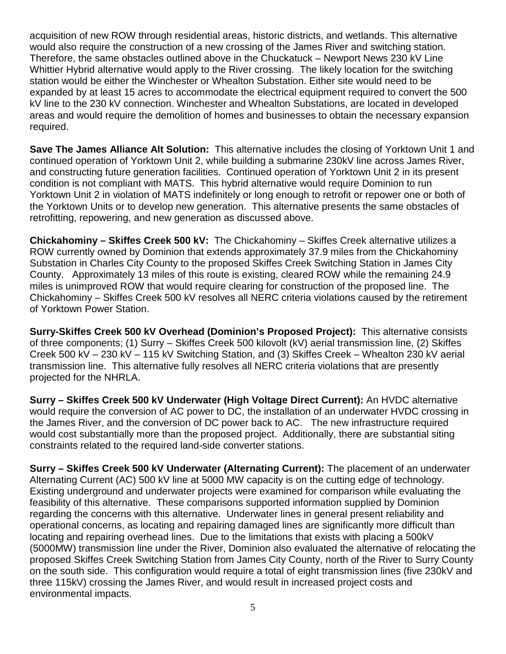acquisition of new ROW through residential areas, historic districts, and wetlands. This alternative would also require the construction of a new crossing of the James River and switching station. Therefore, the same obstacles outlined above in the Chuckatuck – Newport News 230 kV Line Whittier Hybrid alternative would apply to the River crossing. The likely location for the switching station would be either the Winchester or Whealton Substation. Either site would need to be expanded by at least 15 acres to accommodate the electrical equipment required to convert the 500 kV line to the 230 kV connection. Winchester and Whealton Substations, are located in developed areas and would require the demolition of homes and businesses to obtain the necessary expansion required.

**Save The James Alliance Alt Solution:** This alternative includes the closing of Yorktown Unit 1 and continued operation of Yorktown Unit 2, while building a submarine 230kV line across James River, and constructing future generation facilities. Continued operation of Yorktown Unit 2 in its present condition is not compliant with MATS. This hybrid alternative would require Dominion to run Yorktown Unit 2 in violation of MATS indefinitely or long enough to retrofit or repower one or both of the Yorktown Units or to develop new generation. This alternative presents the same obstacles of retrofitting, repowering, and new generation as discussed above.

**Chickahominy – Skiffes Creek 500 kV:** The Chickahominy – Skiffes Creek alternative utilizes a ROW currently owned by Dominion that extends approximately 37.9 miles from the Chickahominy Substation in Charles City County to the proposed Skiffes Creek Switching Station in James City County. Approximately 13 miles of this route is existing, cleared ROW while the remaining 24.9 miles is unimproved ROW that would require clearing for construction of the proposed line. The Chickahominy – Skiffes Creek 500 kV resolves all NERC criteria violations caused by the retirement of Yorktown Power Station.

**Surry-Skiffes Creek 500 kV Overhead (Dominion's Proposed Project):** This alternative consists of three components; (1) Surry – Skiffes Creek 500 kilovolt (kV) aerial transmission line, (2) Skiffes Creek 500 kV – 230 kV – 115 kV Switching Station, and (3) Skiffes Creek – Whealton 230 kV aerial transmission line. This alternative fully resolves all NERC criteria violations that are presently projected for the NHRLA.

**Surry – Skiffes Creek 500 kV Underwater (High Voltage Direct Current):** An HVDC alternative would require the conversion of AC power to DC, the installation of an underwater HVDC crossing in the James River, and the conversion of DC power back to AC. The new infrastructure required would cost substantially more than the proposed project. Additionally, there are substantial siting constraints related to the required land-side converter stations.

**Surry – Skiffes Creek 500 kV Underwater (Alternating Current):** The placement of an underwater Alternating Current (AC) 500 kV line at 5000 MW capacity is on the cutting edge of technology. Existing underground and underwater projects were examined for comparison while evaluating the feasibility of this alternative. These comparisons supported information supplied by Dominion regarding the concerns with this alternative. Underwater lines in general present reliability and operational concerns, as locating and repairing damaged lines are significantly more difficult than locating and repairing overhead lines. Due to the limitations that exists with placing a 500kV (5000MW) transmission line under the River, Dominion also evaluated the alternative of relocating the proposed Skiffes Creek Switching Station from James City County, north of the River to Surry County on the south side. This configuration would require a total of eight transmission lines (five 230kV and three 115kV) crossing the James River, and would result in increased project costs and environmental impacts.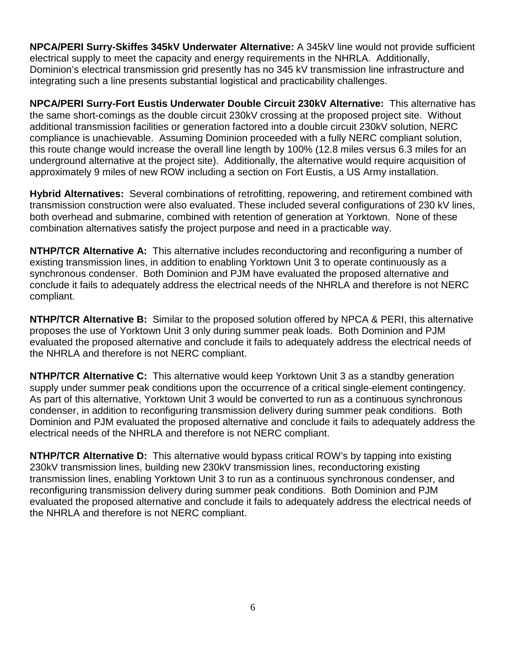**NPCA/PERI Surry-Skiffes 345kV Underwater Alternative:** A 345kV line would not provide sufficient electrical supply to meet the capacity and energy requirements in the NHRLA. Additionally, Dominion's electrical transmission grid presently has no 345 kV transmission line infrastructure and integrating such a line presents substantial logistical and practicability challenges.

**NPCA/PERI Surry-Fort Eustis Underwater Double Circuit 230kV Alternative:** This alternative has the same short-comings as the double circuit 230kV crossing at the proposed project site. Without additional transmission facilities or generation factored into a double circuit 230kV solution, NERC compliance is unachievable. Assuming Dominion proceeded with a fully NERC compliant solution, this route change would increase the overall line length by 100% (12.8 miles versus 6.3 miles for an underground alternative at the project site). Additionally, the alternative would require acquisition of approximately 9 miles of new ROW including a section on Fort Eustis, a US Army installation.

**Hybrid Alternatives:** Several combinations of retrofitting, repowering, and retirement combined with transmission construction were also evaluated. These included several configurations of 230 kV lines, both overhead and submarine, combined with retention of generation at Yorktown. None of these combination alternatives satisfy the project purpose and need in a practicable way.

**NTHP/TCR Alternative A:** This alternative includes reconductoring and reconfiguring a number of existing transmission lines, in addition to enabling Yorktown Unit 3 to operate continuously as a synchronous condenser. Both Dominion and PJM have evaluated the proposed alternative and conclude it fails to adequately address the electrical needs of the NHRLA and therefore is not NERC compliant.

**NTHP/TCR Alternative B:** Similar to the proposed solution offered by NPCA & PERI, this alternative proposes the use of Yorktown Unit 3 only during summer peak loads. Both Dominion and PJM evaluated the proposed alternative and conclude it fails to adequately address the electrical needs of the NHRLA and therefore is not NERC compliant.

**NTHP/TCR Alternative C:** This alternative would keep Yorktown Unit 3 as a standby generation supply under summer peak conditions upon the occurrence of a critical single-element contingency. As part of this alternative, Yorktown Unit 3 would be converted to run as a continuous synchronous condenser, in addition to reconfiguring transmission delivery during summer peak conditions. Both Dominion and PJM evaluated the proposed alternative and conclude it fails to adequately address the electrical needs of the NHRLA and therefore is not NERC compliant.

**NTHP/TCR Alternative D:** This alternative would bypass critical ROW's by tapping into existing 230kV transmission lines, building new 230kV transmission lines, reconductoring existing transmission lines, enabling Yorktown Unit 3 to run as a continuous synchronous condenser, and reconfiguring transmission delivery during summer peak conditions. Both Dominion and PJM evaluated the proposed alternative and conclude it fails to adequately address the electrical needs of the NHRLA and therefore is not NERC compliant.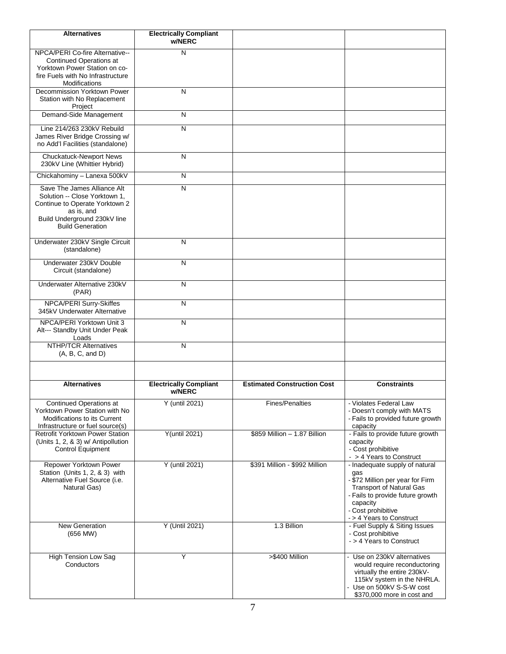| <b>Alternatives</b>                                                                                                                                                     | <b>Electrically Compliant</b><br>w/NERC |                                    |                                                                                                                                                                                                                |
|-------------------------------------------------------------------------------------------------------------------------------------------------------------------------|-----------------------------------------|------------------------------------|----------------------------------------------------------------------------------------------------------------------------------------------------------------------------------------------------------------|
| NPCA/PERI Co-fire Alternative--<br><b>Continued Operations at</b><br>Yorktown Power Station on co-<br>fire Fuels with No Infrastructure<br><b>Modifications</b>         | N                                       |                                    |                                                                                                                                                                                                                |
| Decommission Yorktown Power<br>Station with No Replacement<br>Project                                                                                                   | N                                       |                                    |                                                                                                                                                                                                                |
| Demand-Side Management                                                                                                                                                  | N                                       |                                    |                                                                                                                                                                                                                |
| Line 214/263 230kV Rebuild<br>James River Bridge Crossing w/<br>no Add'l Facilities (standalone)                                                                        | N                                       |                                    |                                                                                                                                                                                                                |
| <b>Chuckatuck-Newport News</b><br>230kV Line (Whittier Hybrid)                                                                                                          | N                                       |                                    |                                                                                                                                                                                                                |
| Chickahominy - Lanexa 500kV                                                                                                                                             | N                                       |                                    |                                                                                                                                                                                                                |
| Save The James Alliance Alt<br>Solution -- Close Yorktown 1,<br>Continue to Operate Yorktown 2<br>as is, and<br>Build Underground 230kV line<br><b>Build Generation</b> | $\overline{\mathsf{N}}$                 |                                    |                                                                                                                                                                                                                |
| Underwater 230kV Single Circuit<br>(standalone)                                                                                                                         | N                                       |                                    |                                                                                                                                                                                                                |
| Underwater 230kV Double<br>Circuit (standalone)                                                                                                                         | N                                       |                                    |                                                                                                                                                                                                                |
| Underwater Alternative 230kV<br>(PAR)                                                                                                                                   | N                                       |                                    |                                                                                                                                                                                                                |
| <b>NPCA/PERI Surry-Skiffes</b><br>345kV Underwater Alternative                                                                                                          | $\overline{\mathsf{N}}$                 |                                    |                                                                                                                                                                                                                |
| NPCA/PERI Yorktown Unit 3<br>Alt--- Standby Unit Under Peak<br>Loads                                                                                                    | N                                       |                                    |                                                                                                                                                                                                                |
| <b>NTHP/TCR Alternatives</b><br>(A, B, C, and D)                                                                                                                        | N                                       |                                    |                                                                                                                                                                                                                |
|                                                                                                                                                                         |                                         |                                    |                                                                                                                                                                                                                |
| <b>Alternatives</b>                                                                                                                                                     | <b>Electrically Compliant</b><br>w/NERC | <b>Estimated Construction Cost</b> | <b>Constraints</b>                                                                                                                                                                                             |
| <b>Continued Operations at</b><br>Yorktown Power Station with No<br>Modifications to its Current<br>Infrastructure or fuel source(s)                                    | Y (until 2021)                          | <b>Fines/Penalties</b>             | - Violates Federal Law<br>- Doesn't comply with MATS<br>- Fails to provided future growth<br>capacity                                                                                                          |
| Retrofit Yorktown Power Station<br>(Units 1, 2, & 3) w/ Antipollution<br><b>Control Equipment</b>                                                                       | <b>Y</b> (until 2021)                   | \$859 Million - 1.87 Billion       | - Fails to provide future growth<br>capacity<br>- Cost prohibitive<br>- > 4 Years to Construct                                                                                                                 |
| Repower Yorktown Power<br>Station (Units 1, 2, & 3) with<br>Alternative Fuel Source (i.e.<br>Natural Gas)                                                               | Y (until 2021)                          | \$391 Million - \$992 Million      | - Inadequate supply of natural<br>gas<br>- \$72 Million per year for Firm<br><b>Transport of Natural Gas</b><br>- Fails to provide future growth<br>capacity<br>- Cost prohibitive<br>- > 4 Years to Construct |
| <b>New Generation</b><br>$(656$ MW $)$                                                                                                                                  | Y (Until 2021)                          | 1.3 Billion                        | - Fuel Supply & Siting Issues<br>- Cost prohibitive<br>- > 4 Years to Construct                                                                                                                                |
| <b>High Tension Low Sag</b><br>Conductors                                                                                                                               | Y                                       | >\$400 Million                     | - Use on 230kV alternatives<br>would require reconductoring<br>virtually the entire 230kV-<br>115kV system in the NHRLA.<br>- Use on 500kV S-S-W cost<br>\$370,000 more in cost and                            |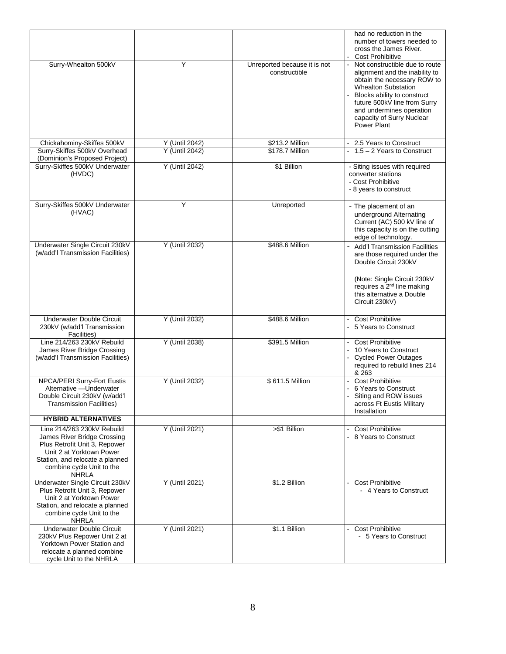|                                                                                                                                                                                                        |                |                                               | had no reduction in the<br>number of towers needed to<br>cross the James River.                                                                                                                                                                                                          |  |
|--------------------------------------------------------------------------------------------------------------------------------------------------------------------------------------------------------|----------------|-----------------------------------------------|------------------------------------------------------------------------------------------------------------------------------------------------------------------------------------------------------------------------------------------------------------------------------------------|--|
| Surry-Whealton 500kV                                                                                                                                                                                   | Y              | Unreported because it is not<br>constructible | Cost Prohibitive<br>Not constructible due to route<br>alignment and the inability to<br>obtain the necessary ROW to<br><b>Whealton Substation</b><br>Blocks ability to construct<br>future 500kV line from Surry<br>and undermines operation<br>capacity of Surry Nuclear<br>Power Plant |  |
| Chickahominy-Skiffes 500kV                                                                                                                                                                             | Y (Until 2042) | \$213.2 Million                               | 2.5 Years to Construct                                                                                                                                                                                                                                                                   |  |
| Surry-Skiffes 500kV Overhead<br>(Dominion's Proposed Project)                                                                                                                                          | Y (Until 2042) | \$178.7 Million                               | $1.5 - 2$ Years to Construct                                                                                                                                                                                                                                                             |  |
| Surry-Skiffes 500kV Underwater<br>(HVDC)                                                                                                                                                               | Y (Until 2042) | \$1 Billion                                   | - Siting issues with required<br>converter stations<br>- Cost Prohibitive<br>- 8 years to construct                                                                                                                                                                                      |  |
| Surry-Skiffes 500kV Underwater<br>(HVAC)                                                                                                                                                               | Υ              | <b>Unreported</b>                             | - The placement of an<br>underground Alternating<br>Current (AC) 500 kV line of<br>this capacity is on the cutting<br>edge of technology.                                                                                                                                                |  |
| Underwater Single Circuit 230kV<br>(w/add'l Transmission Facilities)                                                                                                                                   | Y (Until 2032) | \$488.6 Million                               | <b>Add'l Transmission Facilities</b><br>are those required under the<br>Double Circuit 230kV<br>(Note: Single Circuit 230kV<br>requires a 2 <sup>nd</sup> line making<br>this alternative a Double<br>Circuit 230kV)                                                                     |  |
| Underwater Double Circuit<br>230kV (w/add'l Transmission<br>Facilities)                                                                                                                                | Y (Until 2032) | \$488.6 Million                               | <b>Cost Prohibitive</b><br>5 Years to Construct                                                                                                                                                                                                                                          |  |
| Line 214/263 230kV Rebuild<br>James River Bridge Crossing<br>(w/add'l Transmission Facilities)                                                                                                         | Y (Until 2038) | \$391.5 Million                               | - Cost Prohibitive<br>10 Years to Construct<br>- Cycled Power Outages<br>required to rebuild lines 214<br>& 263                                                                                                                                                                          |  |
| NPCA/PERI Surry-Fort Eustis<br>Alternative - Underwater<br>Double Circuit 230kV (w/add'l<br><b>Transmission Facilities)</b>                                                                            | Y (Until 2032) | \$611.5 Million                               | Cost Prohibitive<br>6 Years to Construct<br>Siting and ROW issues<br>across Ft Eustis Military<br>Installation                                                                                                                                                                           |  |
| <b>HYBRID ALTERNATIVES</b>                                                                                                                                                                             |                |                                               |                                                                                                                                                                                                                                                                                          |  |
| Line 214/263 230kV Rebuild<br>James River Bridge Crossing<br>Plus Retrofit Unit 3, Repower<br>Unit 2 at Yorktown Power<br>Station, and relocate a planned<br>combine cycle Unit to the<br><b>NHRLA</b> | Y (Until 2021) | >\$1 Billion                                  | <b>Cost Prohibitive</b><br>- 8 Years to Construct                                                                                                                                                                                                                                        |  |
| Underwater Single Circuit 230kV<br>Plus Retrofit Unit 3, Repower<br>Unit 2 at Yorktown Power<br>Station, and relocate a planned<br>combine cycle Unit to the<br><b>NHRLA</b>                           | Y (Until 2021) | \$1.2 Billion                                 | <b>Cost Prohibitive</b><br>- 4 Years to Construct                                                                                                                                                                                                                                        |  |
| <b>Underwater Double Circuit</b><br>230kV Plus Repower Unit 2 at<br>Yorktown Power Station and<br>relocate a planned combine<br>cycle Unit to the NHRLA                                                | Y (Until 2021) | \$1.1 Billion                                 | <b>Cost Prohibitive</b><br>- 5 Years to Construct                                                                                                                                                                                                                                        |  |